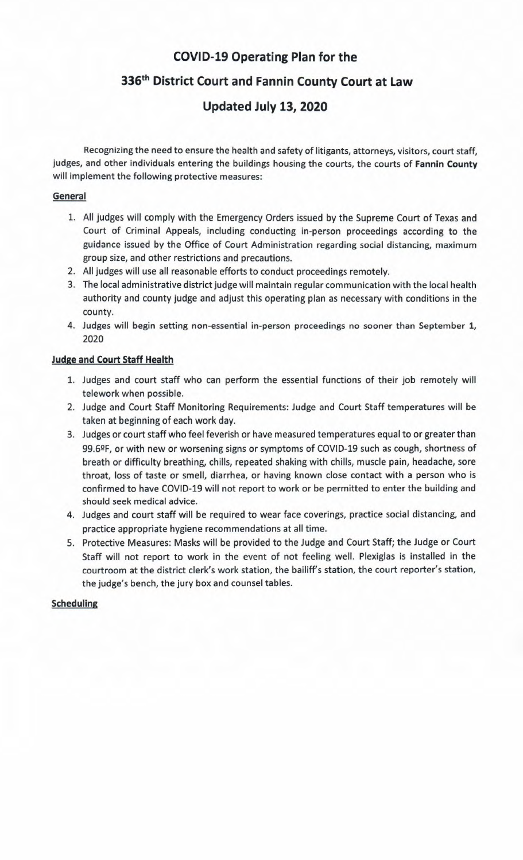## **COVID-19 Operating Plan for the**

**336th District Court and Fannin County Court at Law** 

# **Updated July 13, 2020**

Recognizing the need to ensure the health and safety of litigants, attorneys, visitors, court staff, judges, and other individuals entering the buildings housing the courts, the courts of **Fannin County**  will implement the following protective measures:

## **General**

- 1. All judges will comply with the Emergency Orders issued by the Supreme Court of Texas and Court of Criminal Appeals, including conducting in-person proceedings according to the guidance issued by the Office of Court Administration regarding social distancing, maximum group size, and other restrictions and precautions.
- 2. All judges will use all reasonable efforts to conduct proceedings remotely.
- 3. The local administrative district judge will maintain regular communication with the local health authority and county judge and adjust this operating plan as necessary with conditions in the county.
- 4. Judges will begin setting non-essential in-person proceedings no sooner than September 1, 2020

#### **Judge and Court Staff Health**

- 1. Judges and court staff who can perform the essential functions of their job remotely will telework when possible.
- 2. Judge and Court Staff Monitoring Requirements: Judge and Court Staff temperatures will be taken at beginning of each work day.
- 3. Judges or court staff who feel feverish or have measured temperatures equal to or greater than 99.6ºF, or with new or worsening signs or symptoms of COVID-19 such as cough, shortness of breath or difficulty breathing, chills, repeated shaking with chills, muscle pain, headache, sore throat, loss of taste or smell, diarrhea, or having known close contact with a person who is confirmed to have COVID-19 will not report to work or be permitted to enter the building and should seek medical advice.
- 4. Judges and court staff will be required to wear face coverings, practice social distancing, and practice appropriate hygiene recommendations at all time.
- 5. Protective Measures: Masks will be provided to the Judge and Court Staff; the Judge or Court Staff will not report to work in the event of not feeling well. Plexiglas is installed in the courtroom at the district clerk's work station, the bailiff's station, the court reporter's station, the judge's bench, the jury box and counsel tables.

#### **Scheduling**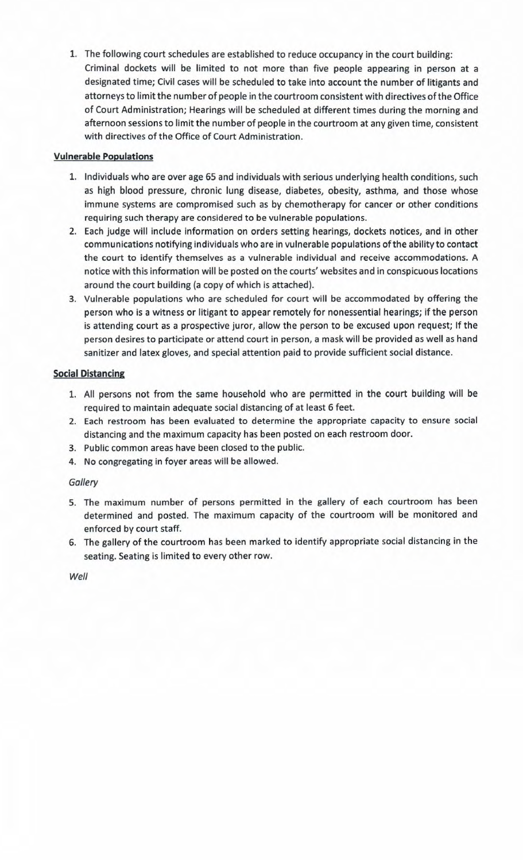1. The following court schedules are established to reduce occupancy in the court building: Criminal dockets will be limited to not more than five people appearing in person at a designated time; Civil cases will be scheduled to take into account the number of litigants and attorneys to limit the number of people in the courtroom consistent with directives of the Office of Court Administration; Hearings will be scheduled at different times during the morning and afternoon sessions to limit the number of people in the courtroom at any given time, consistent with directives of the Office of Court Administration.

## **Vulnerable Populations**

- 1. Individuals who are over age 65 and individuals with serious underlying health conditions, such as high blood pressure, chronic lung disease, diabetes, obesity, asthma, and those whose immune systems are compromised such as by chemotherapy for cancer or other conditions requiring such therapy are considered to be vulnerable populations.
- 2. Each judge will include information on orders setting hearings, dockets notices, and in other communications notifying individuals who are in vulnerable populations of the ability to contact the court to identify themselves as a vulnerable individual and receive accommodations. A notice with this information will be posted on the courts' websites and in conspicuous locations around the court building (a copy of which is attached).
- 3. Vulnerable populations who are scheduled for court will be accommodated by offering the person who is a witness or litigant to appear remotely for nonessential hearings; if the person is attending court as a prospective juror, allow the person to be excused upon request; If the person desires to participate or attend court in person, a mask will be provided as well as hand sanitizer and latex gloves, and special attention paid to provide sufficient social distance.

## **Social Distancing**

- 1. All persons not from the same household who are permitted in the court building will be required to maintain adequate social distancing of at least 6 feet.
- 2. Each restroom has been evaluated to determine the appropriate capacity to ensure social distancing and the maximum capacity has been posted on each restroom door.
- 3. Public common areas have been closed to the public.
- 4. No congregating in foyer areas will be allowed.

#### *Gallery*

- 5. The maximum number of persons permitted in the gallery of each courtroom has been determined and posted. The maximum capacity of the courtroom will be monitored and enforced by court staff.
- 6. The gallery of the courtroom has been marked to identify appropriate social distancing in the seating. Seating is limited to every other row.

*Well*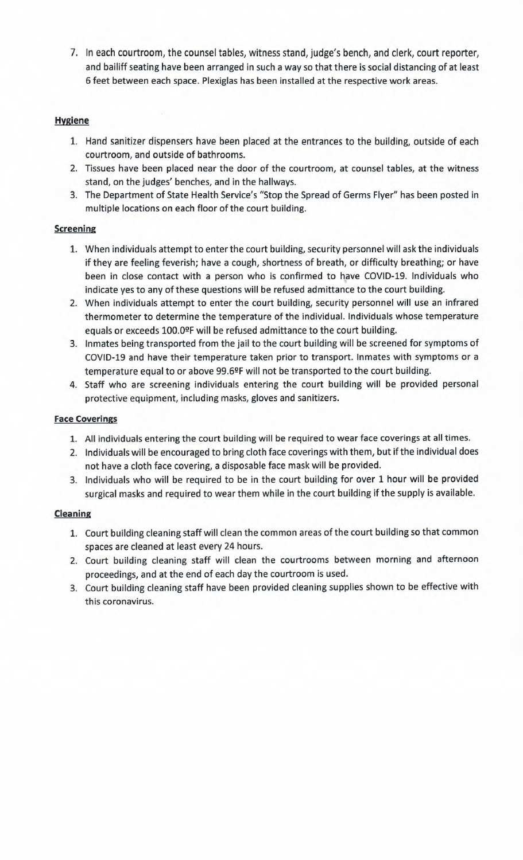7. In each courtroom, the counsel tables, witness stand, judge's bench, and clerk, court reporter, and bailiff seating have been arranged in such a way so that there is social distancing of at least 6 feet between each space. Plexiglas has been installed at the respective work areas.

## **Hygiene**

- 1. Hand sanitizer dispensers have been placed at the entrances to the building, outside of each courtroom, and outside of bathrooms.
- 2. Tissues have been placed near the door of the courtroom, at counsel tables, at the witness stand, on the judges' benches, and in the hallways.
- 3. The Department of State Health Service's "Stop the Spread of Germs Flyer" has been posted in multiple locations on each floor of the court building.

## **Screening**

- 1. When individuals attempt to enter the court building, security personnel will ask the individuals if they are feeling feverish; have a cough, shortness of breath, or difficulty breathing; or have been in close contact with a person who is confirmed to have COVID-19. Individuals who indicate yes to any of these questions will be refused admittance to the court building.
- 2. When individuals attempt to enter the court building, security personnel will use an infrared thermometer to determine the temperature of the individual. Individuals whose temperature equals or exceeds 100.0ºF will be refused admittance to the court building.
- 3. Inmates being transported from the jail to the court building will be screened for symptoms of COVID-19 and have their temperature taken prior to transport. Inmates with symptoms or a temperature equal to or above 99.62F will not be transported to the court building.
- 4. Staff who are screening individuals entering the court building will be provided personal protective equipment, including masks, gloves and sanitizers.

## **Face Coverings**

- 1. All individuals entering the court building will be required to wear face coverings at all times.
- 2. Individuals will be encouraged to bring cloth face coverings with them, but if the individual does not have a cloth face covering, a disposable face mask will be provided.
- 3. Individuals who will be required to be in the court building for over 1 hour will be provided surgical masks and required to wear them while in the court building if the supply is available.

## **Cleaning**

- 1. Court building cleaning staff will clean the common areas of the court building so that common spaces are cleaned at least every 24 hours.
- 2. Court building cleaning staff will clean the courtrooms between morning and afternoon proceedings, and at the end of each day the courtroom is used.
- 3. Court building cleaning staff have been provided cleaning supplies shown to be effective with this coronavirus.